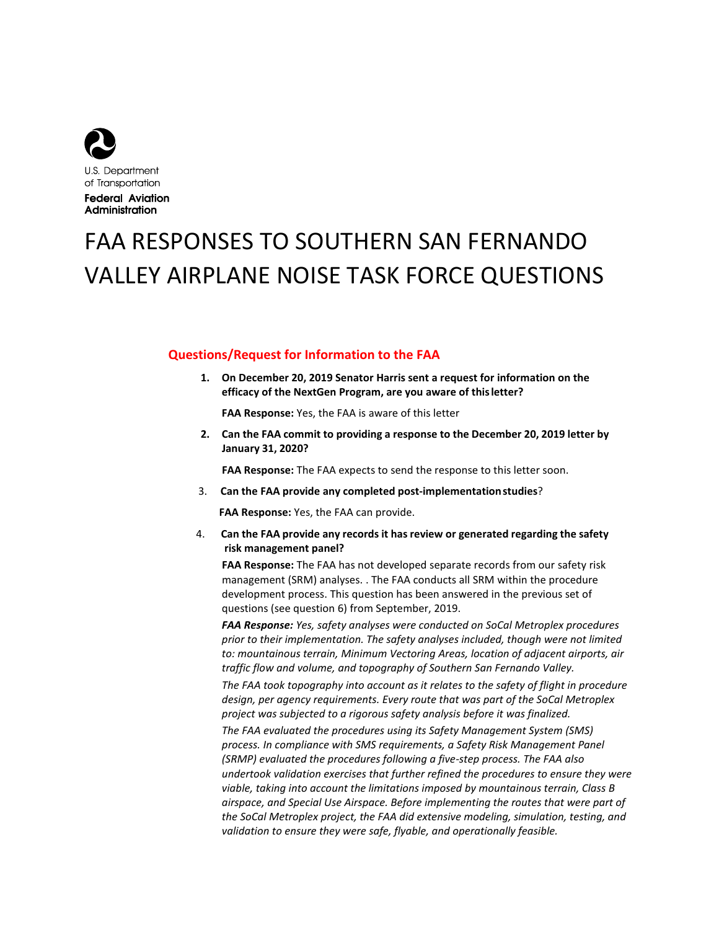

**Federal Aviation** Administration

# FAA RESPONSES TO SOUTHERN SAN FERNANDO VALLEY AIRPLANE NOISE TASK FORCE QUESTIONS

## **Questions/Request for Information to the FAA**

**1. On December 20, 2019 Senator Harris sent a request for information on the efficacy of the NextGen Program, are you aware of thisletter?** 

**FAA Response:** Yes, the FAA is aware of this letter

**2. Can the FAA commit to providing a response to the December 20, 2019 letter by January 31, 2020?** 

**FAA Response:** The FAA expects to send the response to this letter soon.

3. **Can the FAA provide any completed post-implementationstudies**?

**FAA Response:** Yes, the FAA can provide.

 4. **Can the FAA provide any records it has review or generated regarding the safety risk management panel?** 

**FAA Response:** The FAA has not developed separate records from our safety risk management (SRM) analyses. . The FAA conducts all SRM within the procedure development process. This question has been answered in the previous set of questions (see question 6) from September, 2019.

*FAA Response: Yes, safety analyses were conducted on SoCal Metroplex procedures prior to their implementation. The safety analyses included, though were not limited to: mountainous terrain, Minimum Vectoring Areas, location of adjacent airports, air traffic flow and volume, and topography of Southern San Fernando Valley.* 

*The FAA took topography into account as it relates to the safety of flight in procedure design, per agency requirements. Every route that was part of the SoCal Metroplex project was subjected to a rigorous safety analysis before it was finalized.* 

*The FAA evaluated the procedures using its Safety Management System (SMS) process. In compliance with SMS requirements, a Safety Risk Management Panel (SRMP) evaluated the procedures following a five-step process. The FAA also undertook validation exercises that further refined the procedures to ensure they were viable, taking into account the limitations imposed by mountainous terrain, Class B airspace, and Special Use Airspace. Before implementing the routes that were part of the SoCal Metroplex project, the FAA did extensive modeling, simulation, testing, and validation to ensure they were safe, flyable, and operationally feasible.*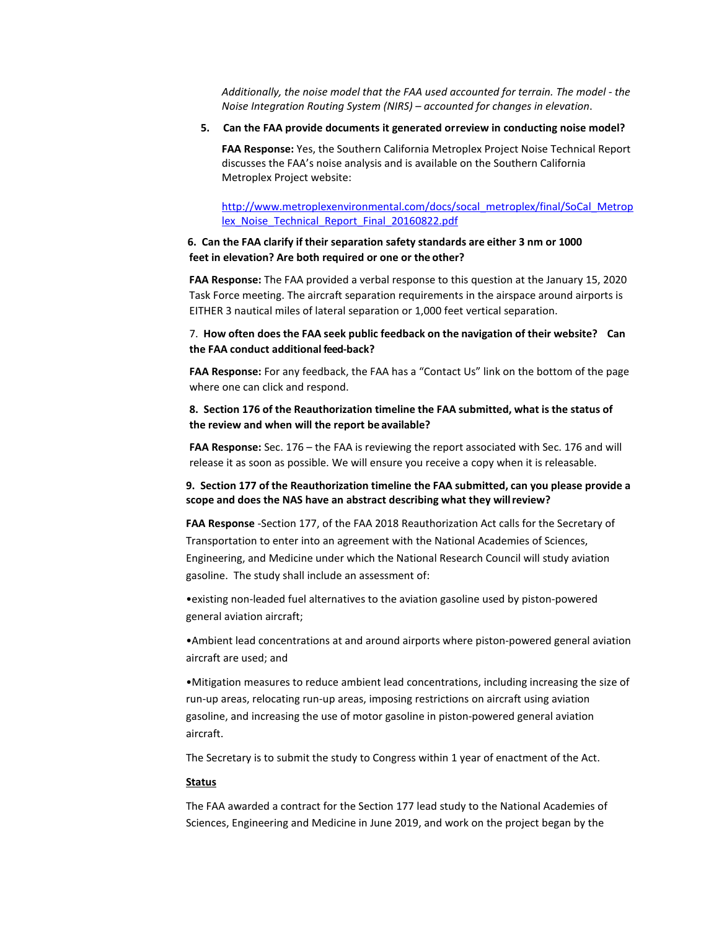*Additionally, the noise model that the FAA used accounted for terrain. The model - the Noise Integration Routing System (NIRS) – accounted for changes in elevation*.

#### **5. Can the FAA provide documents it generated orreview in conducting noise model?**

**FAA Response:** Yes, the Southern California Metroplex Project Noise Technical Report discusses the FAA's noise analysis and is available on the Southern California Metroplex Project website:

[http://www.metroplexenvironmental.com/docs/socal\\_metroplex/final/SoCal\\_Metrop](http://www.metroplexenvironmental.com/docs/socal_metroplex/final/SoCal_Metroplex_Noise_Technical_Report_Final_20160822.pdf) [lex\\_Noise\\_Technical\\_Report\\_Final\\_20160822.pdf](http://www.metroplexenvironmental.com/docs/socal_metroplex/final/SoCal_Metroplex_Noise_Technical_Report_Final_20160822.pdf)

## **6. Can the FAA clarify if their separation safety standards are either 3 nm or 1000 feet in elevation? Are both required or one or the other?**

**FAA Response:** The FAA provided a verbal response to this question at the January 15, 2020 Task Force meeting. The aircraft separation requirements in the airspace around airports is EITHER 3 nautical miles of lateral separation or 1,000 feet vertical separation.

### 7. **How often does the FAA seek public feedback on the navigation of their website? Can the FAA conduct additional feed-back?**

**FAA Response:** For any feedback, the FAA has a "Contact Us" link on the bottom of the page where one can click and respond.

## **8. Section 176 of the Reauthorization timeline the FAA submitted, what is the status of the review and when will the report be available?**

**FAA Response:** Sec. 176 – the FAA is reviewing the report associated with Sec. 176 and will release it as soon as possible. We will ensure you receive a copy when it is releasable.

### **9. Section 177 of the Reauthorization timeline the FAA submitted, can you please provide a scope and does the NAS have an abstract describing what they willreview?**

**FAA Response** -Section 177, of the FAA 2018 Reauthorization Act calls for the Secretary of Transportation to enter into an agreement with the National Academies of Sciences, Engineering, and Medicine under which the National Research Council will study aviation gasoline. The study shall include an assessment of:

•existing non-leaded fuel alternatives to the aviation gasoline used by piston-powered general aviation aircraft;

•Ambient lead concentrations at and around airports where piston-powered general aviation aircraft are used; and

•Mitigation measures to reduce ambient lead concentrations, including increasing the size of run-up areas, relocating run-up areas, imposing restrictions on aircraft using aviation gasoline, and increasing the use of motor gasoline in piston-powered general aviation aircraft.

The Secretary is to submit the study to Congress within 1 year of enactment of the Act.

#### **Status**

The FAA awarded a contract for the Section 177 lead study to the National Academies of Sciences, Engineering and Medicine in June 2019, and work on the project began by the